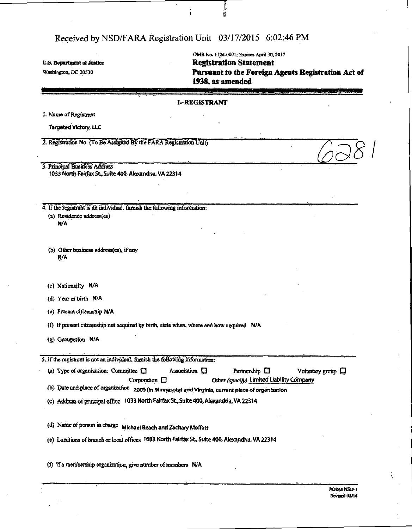OMB No. 1124-0001; Expires April 3a 2017 U.S. Department of Justice Contraction Statement Washington, DC 20530 **Pursuant to the Foreign Agents Registration Act of** 1938, as amended

#### I—REGISTRANT

J. Name of Registrant

Targeted Victory, LLC

2. Registration No. (To Be Assigned By the FARA Registration Unit)

3. Principal Business Address 1033 North Fairfax St, Suite 400, Alexandria, VA 22314

4. If the registrant is an individual, furnish the following information: (a) Residence address(es)

*HFA"* 

(b) Other business address(es), if any N/A

(c) Nationality N/A

(d) Year of birth N/A

(e) Present citizenship N/A

(f) If present citizenship not acquired by birth, state when, where and how acquired N/A

(g) Occupation N/A

5. If the registrant is not an individual, furnish the following information:

| (a) Type of organization: Committee $\Box$ |                    | Association $\Box$ | Partnership $\Box$                        | Voluntary group $\Box$ |
|--------------------------------------------|--------------------|--------------------|-------------------------------------------|------------------------|
|                                            | Corporation $\Box$ |                    | Other (specify) Limited Liability Company |                        |

(b) Date and place of organization 2009 (in Minnesota) and Virginia, current place of organization

(c) Address of principal office 1033 North Fairfax St., Suite 400, Alexandria, VA 22314

(d) Name of person in charge Michael Beach and Zachary Moffatt

(e> Locations of branch or local offices 1033 North Fairfax St, Suite400, Alexandria, VA 22314

(f) If a membership organization, give number of members  $NA$ 

*(298*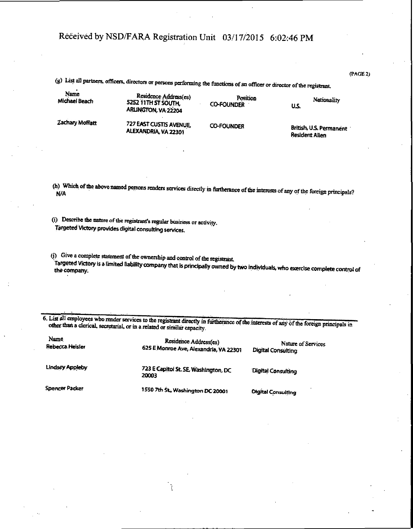(PAGE 2)

|                       | (g) List all partners, officers, directors or persons performing the functions of an officer or director of the registrant. |                               |                                                  |
|-----------------------|-----------------------------------------------------------------------------------------------------------------------------|-------------------------------|--------------------------------------------------|
| Name<br>Michael Beach | Residence Address(es)<br>5252 11TH ST SOUTH.<br>ARLINGTON, VA 22204                                                         | Position<br><b>CO-FOUNDER</b> | Nationality<br>US.                               |
| Zachary Moffatt       | 727 EAST CUSTIS AVENUE.<br>ALEXANDRIA, VA 22301                                                                             | <b>CO-FOUNDER</b>             | British, U.S. Permanent<br><b>Resident Alien</b> |

(h) Which of the above named persons renders services directly in furtherance of the interests of any of the foreign principals?<br>N/A

(i) Describe the nature of the registrant's regular business or activity. Targeted Victory provides digital consulting services.

(j) Give a complete statement of the ownership and control of the registrant.<br>Targeted Victory is a limited liability company that is principally owned by two individuals, who exercise complete control of

6. List all employees who render services to the registrant directly in furtherance of the interests of any of the foreign principals in other than a clerical, secretarial, or in a related or similar capacity.

| Name<br>Rebecca Heisler | Residence Address(es)<br>625 E Monroe Ave, Alexandria, VA 22301 | Nature of Services<br>Digital Consulting |
|-------------------------|-----------------------------------------------------------------|------------------------------------------|
| Lindsey Appleby         | 723 E Capitol St. SE, Washington, DC<br>20003                   | Digital Consulting                       |
| <b>Spencer Packer</b>   | 1550 7th St., Washington DC 20001                               | Digital Consulting                       |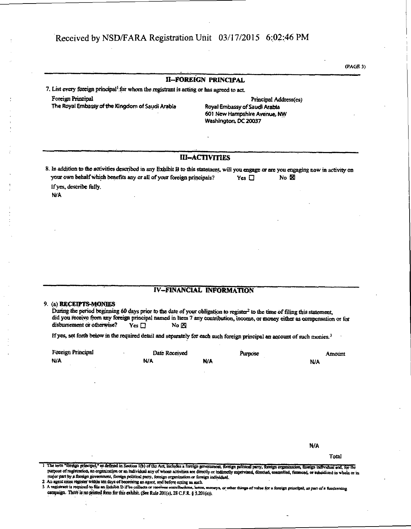$(PAGE 3)$ 

## **II-FOREIGN PRINCIPAL**

7. List every foreign principal<sup>1</sup> for whom the registrant is acting or has agreed to act.

**Foreign Principal** The Royal Embassy of the Kingdom of Saudi Arabia

Principal Address(es) Royal Embassy of Saudi Arabia 601 New Hampshire Avenue, NW Washington, DC 20037

### **III-ACTIVITIES**

8. In addition to the activities described in any Exhibit B to this statement, will you engage or are you engaging now in activity on your own behalf which benefits any or all of your foreign principals? Yes  $\Box$  $No \times$ 

If yes, describe fully. **N/A** 

## **IV-FINANCIAL INFORMATION**

#### 9. (a) RECEIPTS-MONIES

During the period beginning 60 days prior to the date of your obligation to register<sup>2</sup> to the time of filing this statement, did you receive from any foreign principal named in Item 7 any contribution, income, or money either as compensation or for disbursement or otherwise? No<sub>E</sub>  $Yes \Box$ 

If yes, set forth below in the required detail and separately for each such foreign principal an account of such monies.<sup>3</sup>

| Foreign Principal | Date Received | <b>Purpose</b> |    | Amount. |
|-------------------|---------------|----------------|----|---------|
| N/A               | N/A           | N/A            | NA |         |

N/A

Total

I The term "foreign principal," as defined in Section 1(b) of the Act, includes a foreign government, foreign political party, foreign organization, foreign individual and, for the purpose of registration, an organization or an individual any of whose activities are directly or indirectly supervised, directed, controlled, financed, or subsidized in whole or in major part by a foreign government, foreign political party, foreign organization or foreign individual.

<sup>2</sup> An agent must register within ten days of becoming an agent, and before acting as such.<br>3 A registrant is required to file an Eulidot D if be collects or reseives contributions, hean

a, moneys, or other things of value for a foreign principal, as part of a fundraising campaign. There is no printed form for this exhibit. (See Rule 201(e), 28 C.F.R. § 5.201(e)).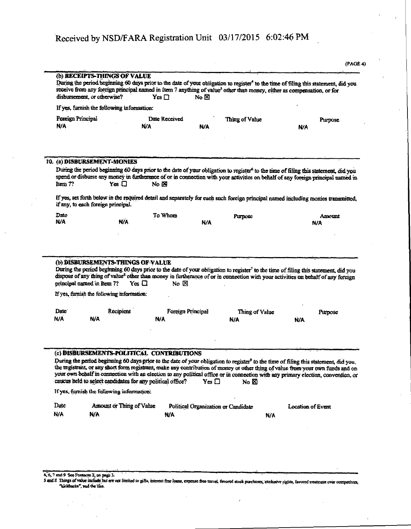| disbursement, or otherwise? |                                                                        |                                                                                                         |            |                                            |                                                                                                                                                                                                                                                                                                                                                                                                                          |
|-----------------------------|------------------------------------------------------------------------|---------------------------------------------------------------------------------------------------------|------------|--------------------------------------------|--------------------------------------------------------------------------------------------------------------------------------------------------------------------------------------------------------------------------------------------------------------------------------------------------------------------------------------------------------------------------------------------------------------------------|
|                             | If yes, furnish the following information:                             |                                                                                                         |            |                                            |                                                                                                                                                                                                                                                                                                                                                                                                                          |
| Foreign Principal<br>N/A    |                                                                        | Date Received<br><b>N/A</b>                                                                             | N/A        | Thing of Value                             | Purpose<br><b>N/A</b>                                                                                                                                                                                                                                                                                                                                                                                                    |
|                             | 10. (a) DISBURSEMENT-MONIES                                            |                                                                                                         |            |                                            |                                                                                                                                                                                                                                                                                                                                                                                                                          |
|                             |                                                                        |                                                                                                         |            |                                            | During the period beginning 60 days prior to the date of your obligation to register <sup>6</sup> to the time of filing this statement, did you<br>spend or disburse any money in furtherance of or in connection with your activities on behalf of any foreign principal named in                                                                                                                                       |
| Item 7?                     | $Yes \Box$                                                             | No <b>E</b>                                                                                             |            |                                            |                                                                                                                                                                                                                                                                                                                                                                                                                          |
|                             | if any, to each foreign principal.                                     |                                                                                                         |            |                                            | If yes, set forth below in the required detail and separately for each such foreign principal named including monies transmitted,                                                                                                                                                                                                                                                                                        |
|                             |                                                                        |                                                                                                         |            |                                            |                                                                                                                                                                                                                                                                                                                                                                                                                          |
|                             |                                                                        | To Whom                                                                                                 |            | Purpose                                    | Amount                                                                                                                                                                                                                                                                                                                                                                                                                   |
|                             | N/A<br>(b) DISBURSEMENTS-THINGS OF VALUE<br>principal named in Item 7? | $Y_{CS}$ $\Box$<br>No ⊠                                                                                 | <b>N/A</b> |                                            | N/A<br>During the period beginning 60 days prior to the date of your obligation to register <sup>7</sup> to the time of filing this statement, did you<br>dispose of any thing of value <sup>8</sup> other than money in furtherance of or in connection with your activities on behalf of any foreign                                                                                                                   |
|                             | If yes, furnish the following information:                             |                                                                                                         |            |                                            |                                                                                                                                                                                                                                                                                                                                                                                                                          |
| Date<br><b>N/A</b><br>Date: | Recipient                                                              | Foreign Principal                                                                                       |            | Thing of Value                             | Purpose                                                                                                                                                                                                                                                                                                                                                                                                                  |
|                             | N/A                                                                    | N/A                                                                                                     |            | N/A                                        | N/A                                                                                                                                                                                                                                                                                                                                                                                                                      |
|                             |                                                                        | (c) DISBURSEMENTS-POLITICAL CONTRIBUTIONS<br>caucus held to select candidates for any political office? | $Yes \Box$ | No $\boxtimes$                             | During the period beginning 60 days prior to the date of your obligation to register <sup>9</sup> to the time of filing this statement, did you.<br>the registrant, or any short form registrant, make any contribution of money or other thing of value from your own funds and on<br>your own behalf in connection with an election to any political office or in connection with any primary election, convention, or |
| <b>N/A</b>                  | If yes, furnish the following information:                             |                                                                                                         |            |                                            |                                                                                                                                                                                                                                                                                                                                                                                                                          |
| Date<br>N/A                 | Amount or Thing of Value<br>NÄ                                         | <b>N/A</b>                                                                                              |            | Political Organization or Candidate<br>N/A | <b>Location of Event</b>                                                                                                                                                                                                                                                                                                                                                                                                 |

 $\ddot{\phantom{a}}$ 

 $\bar{z}$  $\ddot{\phantom{a}}$ 

 $\cdot$ 

4, 6, 7 and 9 See Protincte 2, on page 3.<br>9 and 9 Things of value include but are not limited to gifts, interest free loans, expense free travel, finvored stock purchases, exclusive rights, favored treatment over competito

 $\epsilon$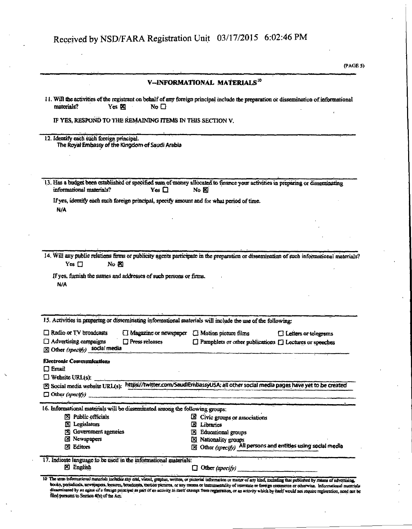V-INFORMATIONAL MATERIALS<sup>10</sup> 11. Will the activities of the registrant on behalf of any foreign principal include the preparation or dissemination of informational materials? Yes **X** No  $\Box$ IF YES, RESPOND TO THE REMAINING ITEMS IN THIS SECTION V. 12. Identify each such foreign principal. The Royal Embassy of the Kingdom of Saudi Arabia 13. Has a budget been established or specified sum of money allocated to finance your activities in preparing or disseminating informational materials? Yes  $\square$  $No &$ If yes, identify each such foreign principal, specify amount and for what period of time. N/A 14. Will any public relations firms or publicity agents participate in the preparation or dissemination of such informational materials? Yes  $\Box$ No K If yes, furnish the names and addresses of such persons or firms. N/A 15. Activities in preparing or disseminating informational materials will include the use of the following: Radio or TV broadcasts □ Magazine or newspaper □ Motion picture films  $\Box$  Letters or telegrams  $\Box$  Advertising campaigns  $\square$  Press releases □ Pamphlets or other publications □ Lectures or speeches  $[8]$  Other (specify) social media **Electronic Communications**  $\Box$  Email  $\Box$  Website URL(s): [2] Social media website URL(s): https://twitter.com/SaudiEmbassyUSA; all other social media pages have yet to be created  $\Box$  Other (specify) 16. Informational materials will be disseminated among the following groups: [X] Public officials  $\boxtimes$  Civic groups or associations **X** Legislators **El** Librarics **[8]** Government agencies 8 Educational groups **El Newspapers** X Nationality groups [2] Other (specify) All persons and entities using social media **Editors** 17. Indicate language to be used in the informational materials: **N** English  $\Box$  Other (specify) 10 The term informational materials includes any oral, visual, graphic, written, or pictorial information or manner of any kind, including that published by means of advertising. books, periodicals, newspapers, leoures, broadcasts, motion pictures, or any means or instrumentality of interstate or foreign equipartie or otherwise. Informational mater sseminated by an agent of a foreign principal as pari of an activity in itself exempt from registration, or an activity which by fiself would not require registration, need not be filed pursuant to Section 4(b) of the Act.

(PAGE 5)